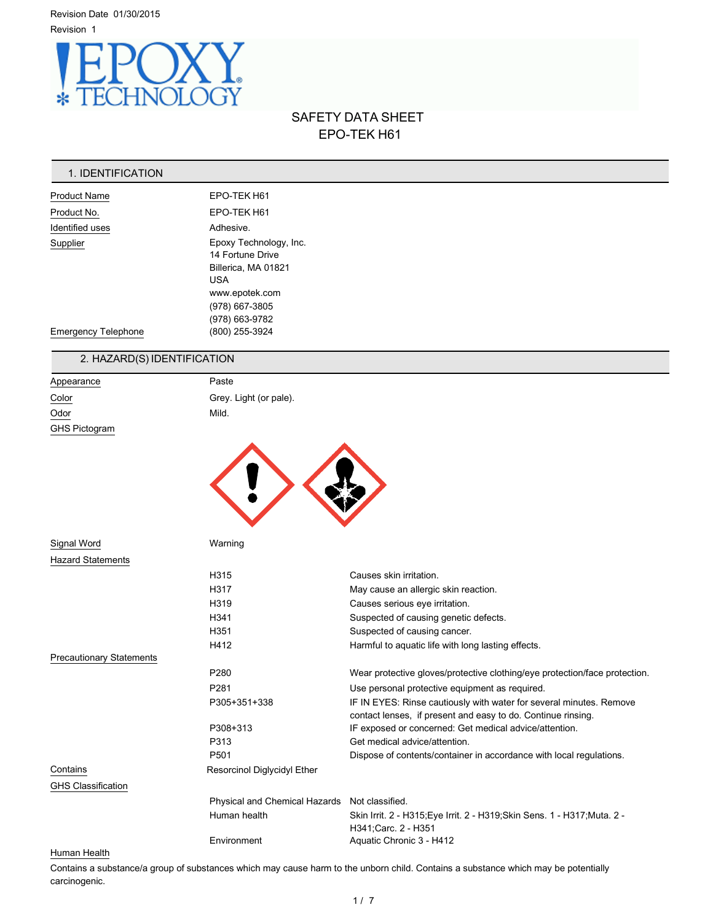

# SAFETY DATA SHEET EPO-TEK H61

## 1. IDENTIFICATION

| <b>Product Name</b>        | EPO-TEK H61                                                                                                                           |
|----------------------------|---------------------------------------------------------------------------------------------------------------------------------------|
| Product No.                | EPO-TEK H61                                                                                                                           |
| Identified uses            | Adhesive.                                                                                                                             |
| Supplier                   | Epoxy Technology, Inc.<br>14 Fortune Drive<br>Billerica, MA 01821<br><b>USA</b><br>www.epotek.com<br>(978) 667-3805<br>(978) 663-9782 |
| <b>Emergency Telephone</b> | (800) 255-3924                                                                                                                        |

# 2. HAZARD(S) IDENTIFICATION

| Appearance           | Paste                  |
|----------------------|------------------------|
| Color                | Grey. Light (or pale). |
| Odor                 | Mild.                  |
| <b>GHS Pictogram</b> |                        |
|                      |                        |



| Signal Word                     | Warning                                       |                                                                                                                                     |
|---------------------------------|-----------------------------------------------|-------------------------------------------------------------------------------------------------------------------------------------|
| <b>Hazard Statements</b>        |                                               |                                                                                                                                     |
|                                 | H <sub>315</sub>                              | Causes skin irritation.                                                                                                             |
|                                 | H317                                          | May cause an allergic skin reaction.                                                                                                |
|                                 | H <sub>319</sub>                              | Causes serious eye irritation.                                                                                                      |
|                                 | H <sub>341</sub>                              | Suspected of causing genetic defects.                                                                                               |
|                                 | H351                                          | Suspected of causing cancer.                                                                                                        |
|                                 | H412                                          | Harmful to aquatic life with long lasting effects.                                                                                  |
| <b>Precautionary Statements</b> |                                               |                                                                                                                                     |
|                                 | P <sub>280</sub>                              | Wear protective gloves/protective clothing/eye protection/face protection.                                                          |
|                                 | P <sub>281</sub>                              | Use personal protective equipment as required.                                                                                      |
|                                 | P305+351+338                                  | IF IN EYES: Rinse cautiously with water for several minutes. Remove<br>contact lenses, if present and easy to do. Continue rinsing. |
|                                 | P308+313                                      | IF exposed or concerned: Get medical advice/attention.                                                                              |
|                                 | P313                                          | Get medical advice/attention.                                                                                                       |
|                                 | P <sub>501</sub>                              | Dispose of contents/container in accordance with local regulations.                                                                 |
| Contains                        | Resorcinol Diglycidyl Ether                   |                                                                                                                                     |
| <b>GHS Classification</b>       |                                               |                                                                                                                                     |
|                                 | Physical and Chemical Hazards Not classified. |                                                                                                                                     |
|                                 | Human health                                  | Skin Irrit. 2 - H315; Eye Irrit. 2 - H319; Skin Sens. 1 - H317; Muta. 2 -<br>H341;Carc. 2 - H351                                    |
|                                 | Environment                                   | Aquatic Chronic 3 - H412                                                                                                            |

## Human Health

Contains a substance/a group of substances which may cause harm to the unborn child. Contains a substance which may be potentially carcinogenic.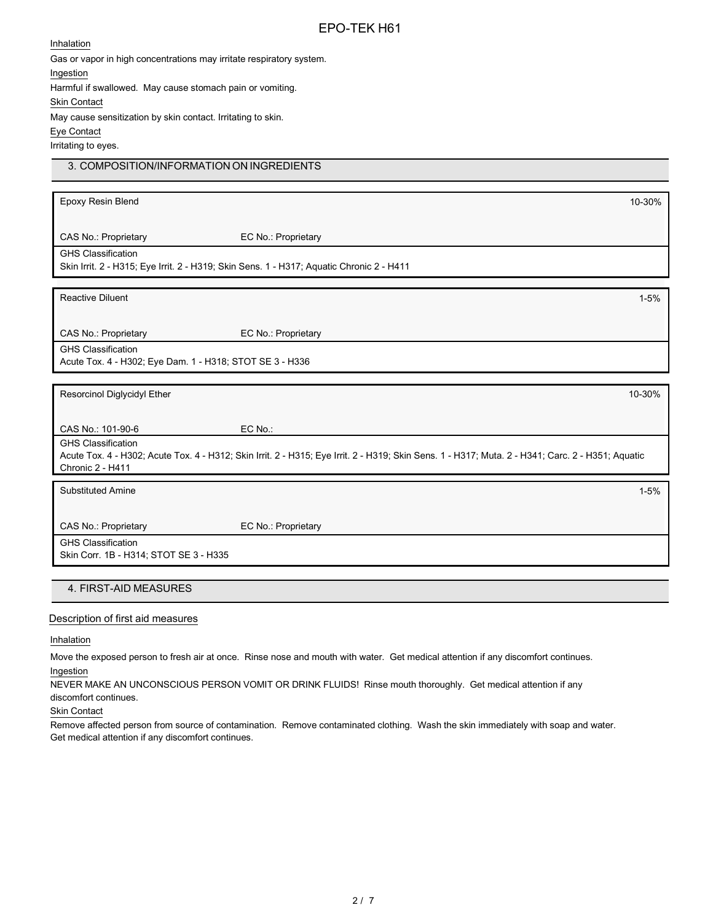### **Inhalation**

Gas or vapor in high concentrations may irritate respiratory system.

Ingestion

Harmful if swallowed. May cause stomach pain or vomiting.

Skin Contact

May cause sensitization by skin contact. Irritating to skin.

Eye Contact

Irritating to eyes.

# 3. COMPOSITION/INFORMATION ON INGREDIENTS

| Epoxy Resin Blend                                                                                                                                                                                  |                     | 10-30%   |
|----------------------------------------------------------------------------------------------------------------------------------------------------------------------------------------------------|---------------------|----------|
| CAS No.: Proprietary                                                                                                                                                                               | EC No.: Proprietary |          |
| <b>GHS Classification</b><br>Skin Irrit. 2 - H315; Eye Irrit. 2 - H319; Skin Sens. 1 - H317; Aquatic Chronic 2 - H411                                                                              |                     |          |
| <b>Reactive Diluent</b>                                                                                                                                                                            |                     | $1 - 5%$ |
| CAS No.: Proprietary                                                                                                                                                                               | EC No.: Proprietary |          |
| <b>GHS Classification</b><br>Acute Tox. 4 - H302; Eye Dam. 1 - H318; STOT SE 3 - H336                                                                                                              |                     |          |
| Resorcinol Diglycidyl Ether                                                                                                                                                                        |                     | 10-30%   |
| CAS No.: 101-90-6                                                                                                                                                                                  | EC No.:             |          |
| <b>GHS Classification</b><br>Acute Tox. 4 - H302; Acute Tox. 4 - H312; Skin Irrit. 2 - H315; Eye Irrit. 2 - H319; Skin Sens. 1 - H317; Muta. 2 - H341; Carc. 2 - H351; Aquatic<br>Chronic 2 - H411 |                     |          |
| <b>Substituted Amine</b>                                                                                                                                                                           |                     | $1 - 5%$ |
| CAS No.: Proprietary                                                                                                                                                                               | EC No.: Proprietary |          |
| <b>GHS Classification</b><br>Skin Corr. 1B - H314; STOT SE 3 - H335                                                                                                                                |                     |          |

# 4. FIRST-AID MEASURES

### Description of first aid measures

Inhalation

Move the exposed person to fresh air at once. Rinse nose and mouth with water. Get medical attention if any discomfort continues. Ingestion

NEVER MAKE AN UNCONSCIOUS PERSON VOMIT OR DRINK FLUIDS! Rinse mouth thoroughly. Get medical attention if any discomfort continues.

Skin Contact

Remove affected person from source of contamination. Remove contaminated clothing. Wash the skin immediately with soap and water. Get medical attention if any discomfort continues.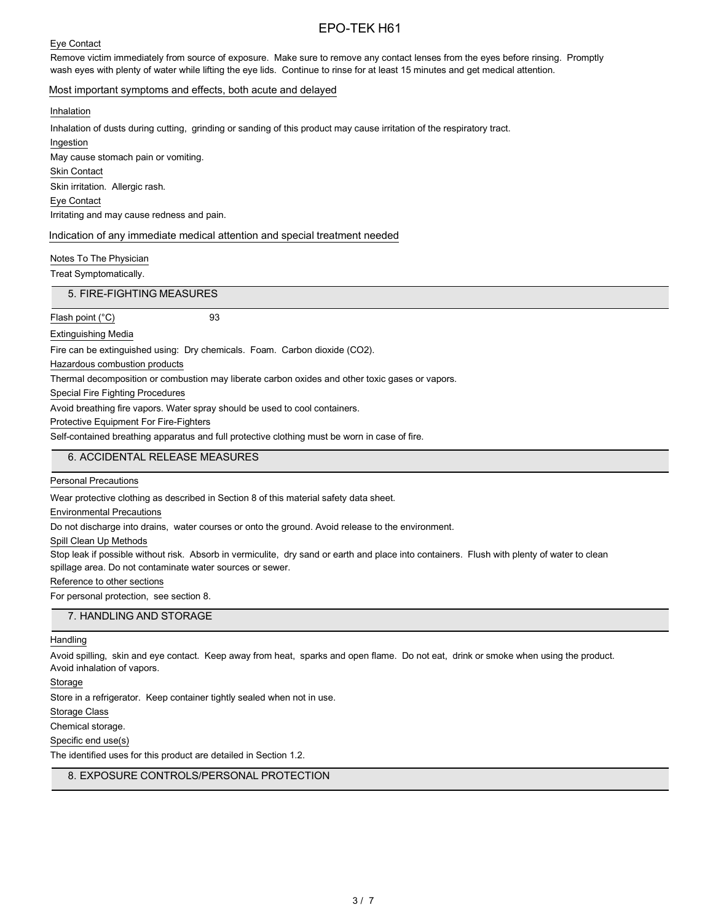### Eye Contact

Remove victim immediately from source of exposure. Make sure to remove any contact lenses from the eyes before rinsing. Promptly wash eyes with plenty of water while lifting the eye lids. Continue to rinse for at least 15 minutes and get medical attention.

## Most important symptoms and effects, both acute and delayed

#### Inhalation

Inhalation of dusts during cutting, grinding or sanding of this product may cause irritation of the respiratory tract.

Ingestion May cause stomach pain or vomiting.

Skin Contact

Skin irritation. Allergic rash.

Eye Contact

Irritating and may cause redness and pain.

#### Indication of any immediate medical attention and special treatment needed

Notes To The Physician

Treat Symptomatically.

5. FIRE-FIGHTING MEASURES

Flash point (°C) 93

## Extinguishing Media

Fire can be extinguished using: Dry chemicals. Foam. Carbon dioxide (CO2).

Hazardous combustion products

Thermal decomposition or combustion may liberate carbon oxides and other toxic gases or vapors.

Special Fire Fighting Procedures

Avoid breathing fire vapors. Water spray should be used to cool containers.

Protective Equipment For Fire-Fighters

Self-contained breathing apparatus and full protective clothing must be worn in case of fire.

## 6. ACCIDENTAL RELEASE MEASURES

Personal Precautions

Wear protective clothing as described in Section 8 of this material safety data sheet.

Environmental Precautions

Do not discharge into drains, water courses or onto the ground. Avoid release to the environment.

Spill Clean Up Methods

Stop leak if possible without risk. Absorb in vermiculite, dry sand or earth and place into containers. Flush with plenty of water to clean spillage area. Do not contaminate water sources or sewer.

### Reference to other sections

For personal protection, see section 8.

### 7. HANDLING AND STORAGE

#### Handling

Avoid spilling, skin and eye contact. Keep away from heat, sparks and open flame. Do not eat, drink or smoke when using the product. Avoid inhalation of vapors.

Storage

Store in a refrigerator. Keep container tightly sealed when not in use.

Storage Class

Chemical storage.

Specific end use(s)

The identified uses for this product are detailed in Section 1.2.

## 8. EXPOSURE CONTROLS/PERSONAL PROTECTION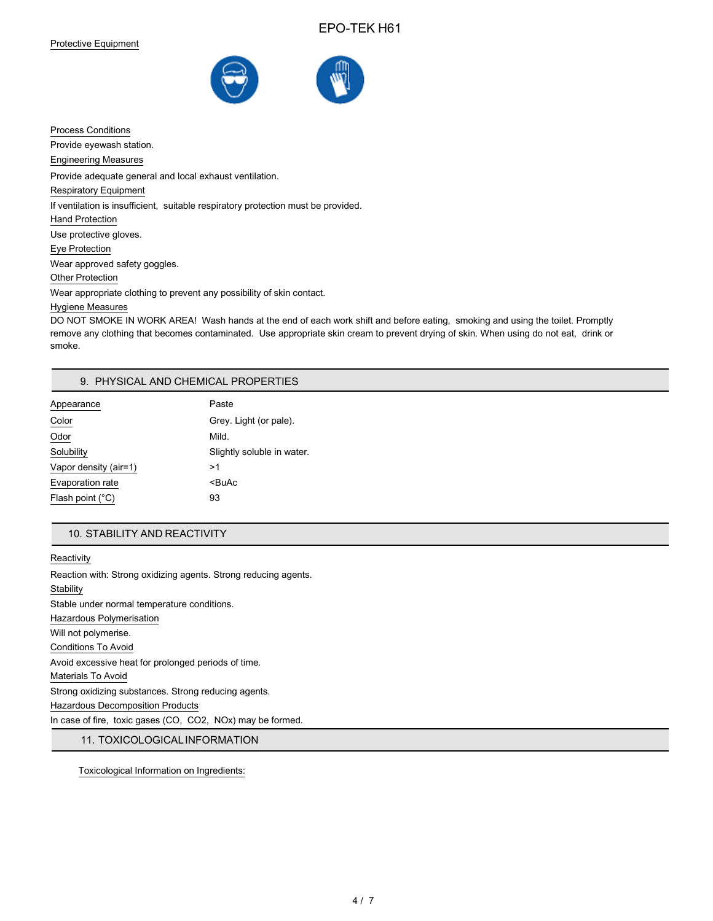

Process Conditions Provide eyewash station. Engineering Measures Provide adequate general and local exhaust ventilation. Respiratory Equipment If ventilation is insufficient, suitable respiratory protection must be provided. Hand Protection Use protective gloves. Eye Protection Wear approved safety goggles. Other Protection Wear appropriate clothing to prevent any possibility of skin contact. Hygiene Measures

DO NOT SMOKE IN WORK AREA! Wash hands at the end of each work shift and before eating, smoking and using the toilet. Promptly remove any clothing that becomes contaminated. Use appropriate skin cream to prevent drying of skin. When using do not eat, drink or smoke.

### 9. PHYSICAL AND CHEMICAL PROPERTIES

| Appearance            | Paste                      |
|-----------------------|----------------------------|
| Color                 | Grey. Light (or pale).     |
| Odor                  | Mild.                      |
| Solubility            | Slightly soluble in water. |
| Vapor density (air=1) | >1                         |
| Evaporation rate      | <buac< td=""></buac<>      |
| Flash point (°C)      | 93                         |

### 10. STABILITY AND REACTIVITY

**Reactivity** Reaction with: Strong oxidizing agents. Strong reducing agents. **Stability** Stable under normal temperature conditions. Hazardous Polymerisation Will not polymerise. Conditions To Avoid Avoid excessive heat for prolonged periods of time. Materials To Avoid Strong oxidizing substances. Strong reducing agents. Hazardous Decomposition Products In case of fire, toxic gases (CO, CO2, NOx) may be formed.

11. TOXICOLOGICALINFORMATION

Toxicological Information on Ingredients: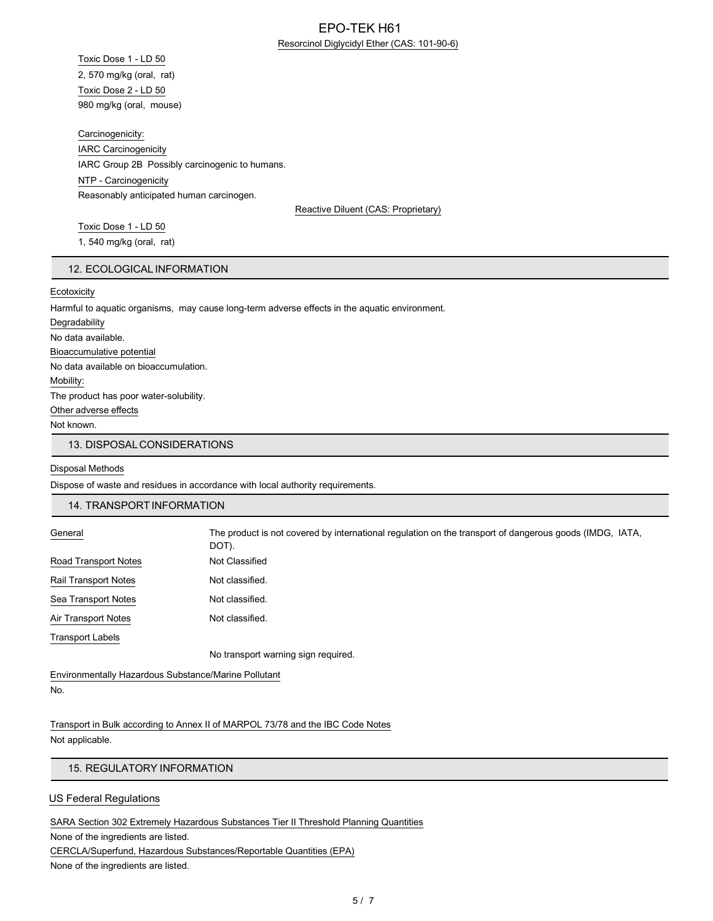## EPO-TEK H61 Resorcinol Diglycidyl Ether (CAS: 101-90-6)

Toxic Dose 1 - LD 50 2, 570 mg/kg (oral, rat) Toxic Dose 2 - LD 50 980 mg/kg (oral, mouse)

Carcinogenicity: IARC Carcinogenicity IARC Group 2B Possibly carcinogenic to humans. NTP - Carcinogenicity Reasonably anticipated human carcinogen.

Reactive Diluent (CAS: Proprietary)

Toxic Dose 1 - LD 50 1, 540 mg/kg (oral, rat)

## 12. ECOLOGICAL INFORMATION

### Ecotoxicity

Harmful to aquatic organisms, may cause long-term adverse effects in the aquatic environment. Degradability No data available. Bioaccumulative potential No data available on bioaccumulation. Mobility: The product has poor water-solubility. Other adverse effects Not known. 13. DISPOSALCONSIDERATIONS

### Disposal Methods

Dispose of waste and residues in accordance with local authority requirements.

#### 14. TRANSPORTINFORMATION

| General              | The product is not covered by international regulation on the transport of dangerous goods (IMDG, IATA,<br>DOT). |
|----------------------|------------------------------------------------------------------------------------------------------------------|
| Road Transport Notes | Not Classified                                                                                                   |
| Rail Transport Notes | Not classified.                                                                                                  |
| Sea Transport Notes  | Not classified.                                                                                                  |
| Air Transport Notes  | Not classified.                                                                                                  |
| Transport Labels     |                                                                                                                  |
|                      | No transport warning sign required.                                                                              |

Environmentally Hazardous Substance/Marine Pollutant No.

Transport in Bulk according to Annex II of MARPOL 73/78 and the IBC Code Notes Not applicable.

## 15. REGULATORY INFORMATION

### US Federal Regulations

SARA Section 302 Extremely Hazardous Substances Tier II Threshold Planning Quantities

None of the ingredients are listed. CERCLA/Superfund, Hazardous Substances/Reportable Quantities (EPA) None of the ingredients are listed.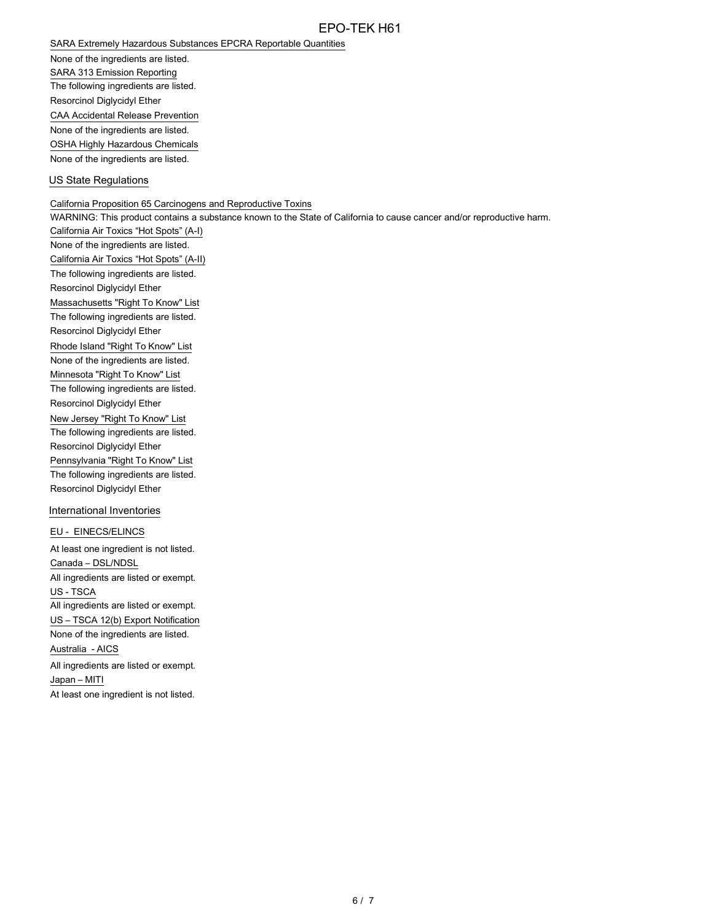SARA Extremely Hazardous Substances EPCRA Reportable Quantities

None of the ingredients are listed. SARA 313 Emission Reporting The following ingredients are listed. Resorcinol Diglycidyl Ether CAA Accidental Release Prevention None of the ingredients are listed. OSHA Highly Hazardous Chemicals

None of the ingredients are listed.

### US State Regulations

California Proposition 65 Carcinogens and Reproductive Toxins

WARNING: This product contains a substance known to the State of California to cause cancer and/or reproductive harm.

California Air Toxics "Hot Spots" (A-I) None of the ingredients are listed. California Air Toxics "Hot Spots" (A-II) The following ingredients are listed. Resorcinol Diglycidyl Ether Massachusetts "Right To Know" List The following ingredients are listed. Resorcinol Diglycidyl Ether Rhode Island "Right To Know" List None of the ingredients are listed. Minnesota "Right To Know" List The following ingredients are listed. Resorcinol Diglycidyl Ether New Jersey "Right To Know" List The following ingredients are listed. Resorcinol Diglycidyl Ether Pennsylvania "Right To Know" List The following ingredients are listed. Resorcinol Diglycidyl Ether

### International Inventories

EU - EINECS/ELINCS

At least one ingredient is not listed. Canada – DSL/NDSL All ingredients are listed or exempt. US - TSCA All ingredients are listed or exempt. US – TSCA 12(b) Export Notification None of the ingredients are listed. Australia - AICS All ingredients are listed or exempt. Japan – MITI At least one ingredient is not listed.